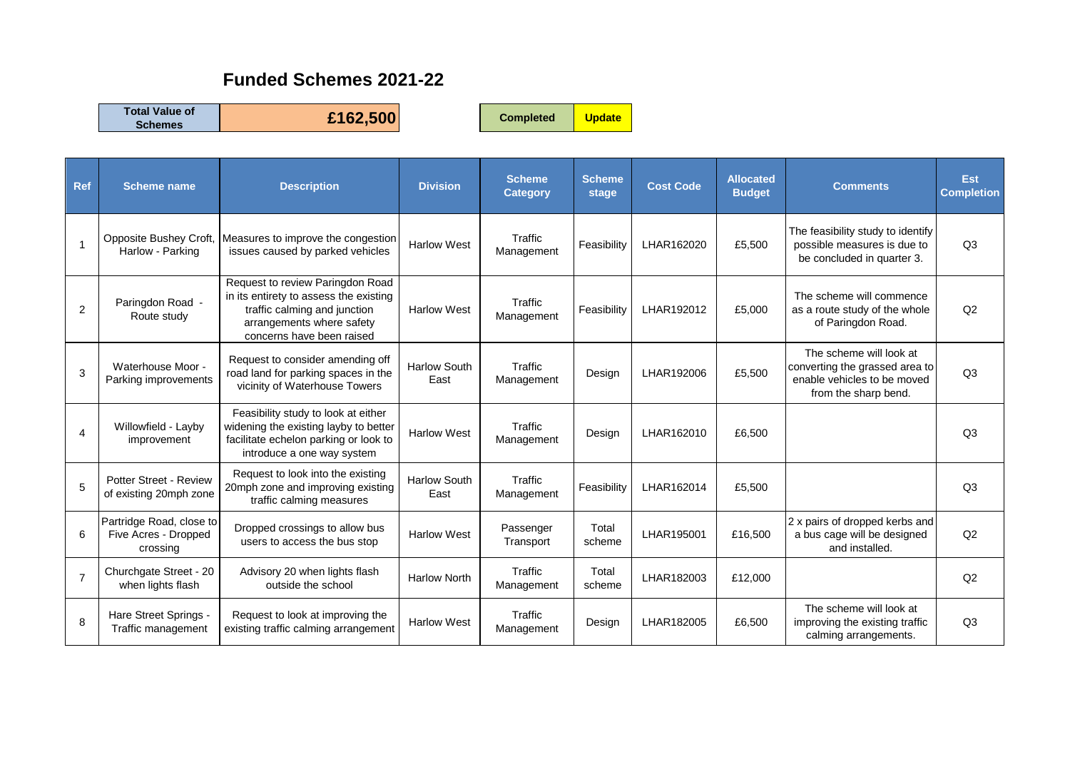## **Funded Schemes 2021-22**

**Total Value of** 

**Schemes £162,500 Completed Update**

| Ref            | <b>Scheme name</b>                                           | <b>Description</b>                                                                                                                                                   | <b>Division</b>             | <b>Scheme</b><br><b>Category</b> | <b>Scheme</b><br>stage | <b>Cost Code</b> | <b>Allocated</b><br><b>Budget</b> | <b>Comments</b>                                                                                                  | <b>Est</b><br><b>Completion</b> |
|----------------|--------------------------------------------------------------|----------------------------------------------------------------------------------------------------------------------------------------------------------------------|-----------------------------|----------------------------------|------------------------|------------------|-----------------------------------|------------------------------------------------------------------------------------------------------------------|---------------------------------|
|                | Opposite Bushey Croft,<br>Harlow - Parking                   | Measures to improve the congestion<br>issues caused by parked vehicles                                                                                               | <b>Harlow West</b>          | Traffic<br>Management            | Feasibility            | LHAR162020       | £5,500                            | The feasibility study to identify<br>possible measures is due to<br>be concluded in quarter 3.                   | Q <sub>3</sub>                  |
| 2              | Paringdon Road -<br>Route study                              | Request to review Paringdon Road<br>in its entirety to assess the existing<br>traffic calming and junction<br>arrangements where safety<br>concerns have been raised | <b>Harlow West</b>          | Traffic<br>Management            | Feasibility            | LHAR192012       | £5,000                            | The scheme will commence<br>as a route study of the whole<br>of Paringdon Road.                                  | Q2                              |
| 3              | Waterhouse Moor -<br>Parking improvements                    | Request to consider amending off<br>road land for parking spaces in the<br>vicinity of Waterhouse Towers                                                             | <b>Harlow South</b><br>East | Traffic<br>Management            | Design                 | LHAR192006       | £5,500                            | The scheme will look at<br>converting the grassed area to<br>enable vehicles to be moved<br>from the sharp bend. | Q <sub>3</sub>                  |
| 4              | Willowfield - Layby<br>improvement                           | Feasibility study to look at either<br>widening the existing layby to better<br>facilitate echelon parking or look to<br>introduce a one way system                  | <b>Harlow West</b>          | Traffic<br>Management            | Design                 | LHAR162010       | £6,500                            |                                                                                                                  | Q <sub>3</sub>                  |
| 5              | Potter Street - Review<br>of existing 20mph zone             | Request to look into the existing<br>20mph zone and improving existing<br>traffic calming measures                                                                   | <b>Harlow South</b><br>East | Traffic<br>Management            | Feasibility            | LHAR162014       | £5,500                            |                                                                                                                  | Q <sub>3</sub>                  |
| 6              | Partridge Road, close to<br>Five Acres - Dropped<br>crossing | Dropped crossings to allow bus<br>users to access the bus stop                                                                                                       | <b>Harlow West</b>          | Passenger<br>Transport           | Total<br>scheme        | LHAR195001       | £16,500                           | 2 x pairs of dropped kerbs and<br>a bus cage will be designed<br>and installed.                                  | Q <sub>2</sub>                  |
| $\overline{7}$ | Churchgate Street - 20<br>when lights flash                  | Advisory 20 when lights flash<br>outside the school                                                                                                                  | <b>Harlow North</b>         | Traffic<br>Management            | Total<br>scheme        | LHAR182003       | £12,000                           |                                                                                                                  | Q2                              |
| 8              | Hare Street Springs -<br>Traffic management                  | Request to look at improving the<br>existing traffic calming arrangement                                                                                             | <b>Harlow West</b>          | Traffic<br>Management            | Design                 | LHAR182005       | £6,500                            | The scheme will look at<br>improving the existing traffic<br>calming arrangements.                               | Q <sub>3</sub>                  |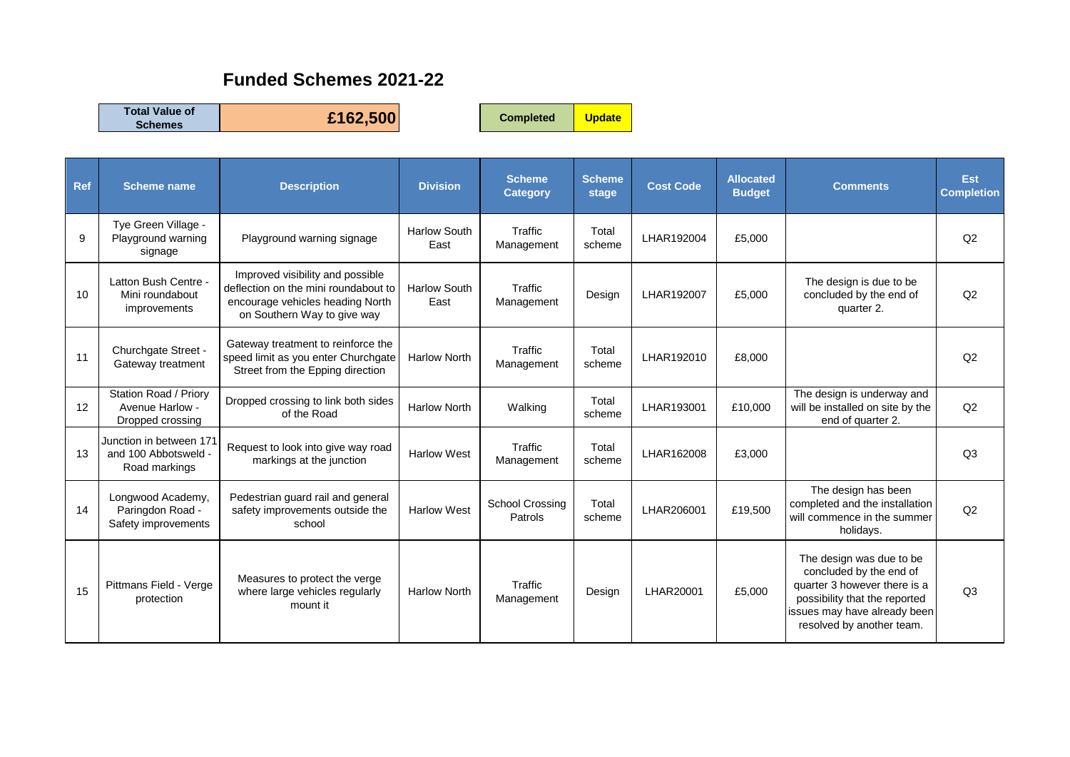## **Funded Schemes 2021-22**

**Total Value of** 

**Schemes £162,500 Completed Update**

| Ref | <b>Scheme name</b>                                               | <b>Description</b>                                                                                                                          | <b>Division</b>             | <b>Scheme</b><br><b>Category</b>  | <b>Scheme</b><br>stage | <b>Cost Code</b> | <b>Allocated</b><br><b>Budget</b> | <b>Comments</b>                                                                                                                                                                   | <b>Est</b><br><b>Completion</b> |
|-----|------------------------------------------------------------------|---------------------------------------------------------------------------------------------------------------------------------------------|-----------------------------|-----------------------------------|------------------------|------------------|-----------------------------------|-----------------------------------------------------------------------------------------------------------------------------------------------------------------------------------|---------------------------------|
| 9   | Tye Green Village -<br>Playground warning<br>signage             | Playground warning signage                                                                                                                  | <b>Harlow South</b><br>East | Traffic<br>Management             | Total<br>scheme        | LHAR192004       | £5,000                            |                                                                                                                                                                                   | Q <sub>2</sub>                  |
| 10  | Latton Bush Centre -<br>Mini roundabout<br>improvements          | Improved visibility and possible<br>deflection on the mini roundabout to<br>encourage vehicles heading North<br>on Southern Way to give way | <b>Harlow South</b><br>East | Traffic<br>Management             | Design                 | LHAR192007       | £5,000                            | The design is due to be<br>concluded by the end of<br>quarter 2.                                                                                                                  | Q2                              |
| 11  | Churchgate Street -<br>Gateway treatment                         | Gateway treatment to reinforce the<br>speed limit as you enter Churchgate<br>Street from the Epping direction                               | <b>Harlow North</b>         | Traffic<br>Management             | Total<br>scheme        | LHAR192010       | £8,000                            |                                                                                                                                                                                   | Q <sub>2</sub>                  |
| 12  | Station Road / Priory<br>Avenue Harlow -<br>Dropped crossing     | Dropped crossing to link both sides<br>of the Road                                                                                          | <b>Harlow North</b>         | Walking                           | Total<br>scheme        | LHAR193001       | £10,000                           | The design is underway and<br>will be installed on site by the<br>end of quarter 2.                                                                                               | Q2                              |
| 13  | Junction in between 171<br>and 100 Abbotsweld -<br>Road markings | Request to look into give way road<br>markings at the junction                                                                              | <b>Harlow West</b>          | Traffic<br>Management             | Total<br>scheme        | LHAR162008       | £3,000                            |                                                                                                                                                                                   | Q <sub>3</sub>                  |
| 14  | Longwood Academy,<br>Paringdon Road -<br>Safety improvements     | Pedestrian guard rail and general<br>safety improvements outside the<br>school                                                              | <b>Harlow West</b>          | <b>School Crossing</b><br>Patrols | Total<br>scheme        | LHAR206001       | £19,500                           | The design has been<br>completed and the installation<br>will commence in the summer<br>holidays.                                                                                 | Q2                              |
| 15  | Pittmans Field - Verge<br>protection                             | Measures to protect the verge<br>where large vehicles regularly<br>mount it                                                                 | <b>Harlow North</b>         | Traffic<br>Management             | Design                 | LHAR20001        | £5,000                            | The design was due to be<br>concluded by the end of<br>quarter 3 however there is a<br>possibility that the reported<br>issues may have already been<br>resolved by another team. | Q <sub>3</sub>                  |